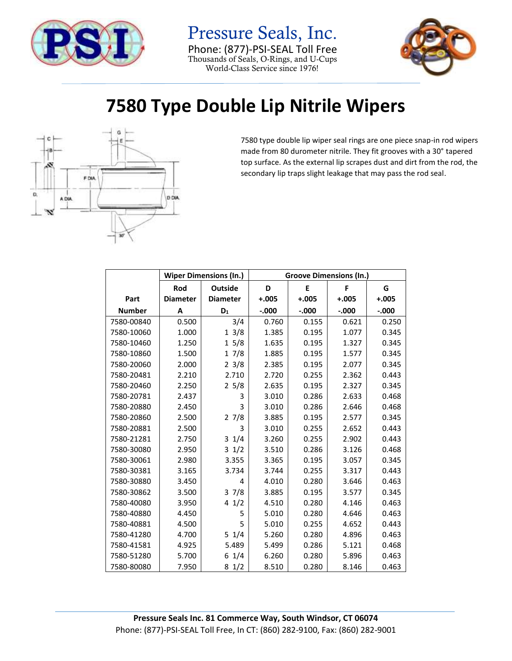

Pressure Seals, Inc. Phone: (877)-PSI-SEAL Toll Free Thousands of Seals, O-Rings, and U-Cups World-Class Service since 1976!



## **7580 Type Double Lip Nitrile Wipers**



7580 type double lip wiper seal rings are one piece snap-in rod wipers made from 80 durometer nitrile. They fit grooves with a 30° tapered top surface. As the external lip scrapes dust and dirt from the rod, the secondary lip traps slight leakage that may pass the rod seal.

|               | <b>Wiper Dimensions (In.)</b> |                 | <b>Groove Dimensions (In.)</b> |         |          |         |
|---------------|-------------------------------|-----------------|--------------------------------|---------|----------|---------|
|               | Rod                           | <b>Outside</b>  |                                | E       | F        | G       |
| Part          | <b>Diameter</b>               | <b>Diameter</b> | $+.005$                        | $+.005$ | $+.005$  | $+.005$ |
| <b>Number</b> | A                             | $D_1$           | $-.000$                        | $-.000$ | $-0.000$ | $-.000$ |
| 7580-00840    | 0.500                         | 3/4             | 0.760                          | 0.155   | 0.621    | 0.250   |
| 7580-10060    | 1.000                         | 13/8            | 1.385                          | 0.195   | 1.077    | 0.345   |
| 7580-10460    | 1.250                         | 15/8            | 1.635                          | 0.195   | 1.327    | 0.345   |
| 7580-10860    | 1.500                         | 17/8            | 1.885                          | 0.195   | 1.577    | 0.345   |
| 7580-20060    | 2.000                         | $2 \frac{3}{8}$ | 2.385                          | 0.195   | 2.077    | 0.345   |
| 7580-20481    | 2.210                         | 2.710           | 2.720                          | 0.255   | 2.362    | 0.443   |
| 7580-20460    | 2.250                         | 25/8            | 2.635                          | 0.195   | 2.327    | 0.345   |
| 7580-20781    | 2.437                         | 3               | 3.010                          | 0.286   | 2.633    | 0.468   |
| 7580-20880    | 2.450                         | 3               | 3.010                          | 0.286   | 2.646    | 0.468   |
| 7580-20860    | 2.500                         | 27/8            | 3.885                          | 0.195   | 2.577    | 0.345   |
| 7580-20881    | 2.500                         | 3               | 3.010                          | 0.255   | 2.652    | 0.443   |
| 7580-21281    | 2.750                         | $3 \t1/4$       | 3.260                          | 0.255   | 2.902    | 0.443   |
| 7580-30080    | 2.950                         | $3 \frac{1}{2}$ | 3.510                          | 0.286   | 3.126    | 0.468   |
| 7580-30061    | 2.980                         | 3.355           | 3.365                          | 0.195   | 3.057    | 0.345   |
| 7580-30381    | 3.165                         | 3.734           | 3.744                          | 0.255   | 3.317    | 0.443   |
| 7580-30880    | 3.450                         | 4               | 4.010                          | 0.280   | 3.646    | 0.463   |
| 7580-30862    | 3.500                         | 37/8            | 3.885                          | 0.195   | 3.577    | 0.345   |
| 7580-40080    | 3.950                         | 41/2            | 4.510                          | 0.280   | 4.146    | 0.463   |
| 7580-40880    | 4.450                         | 5               | 5.010                          | 0.280   | 4.646    | 0.463   |
| 7580-40881    | 4.500                         | 5               | 5.010                          | 0.255   | 4.652    | 0.443   |
| 7580-41280    | 4.700                         | $5 \t1/4$       | 5.260                          | 0.280   | 4.896    | 0.463   |
| 7580-41581    | 4.925                         | 5.489           | 5.499                          | 0.286   | 5.121    | 0.468   |
| 7580-51280    | 5.700                         | $6\;1/4$        | 6.260                          | 0.280   | 5.896    | 0.463   |
| 7580-80080    | 7.950                         | 81/2            | 8.510                          | 0.280   | 8.146    | 0.463   |